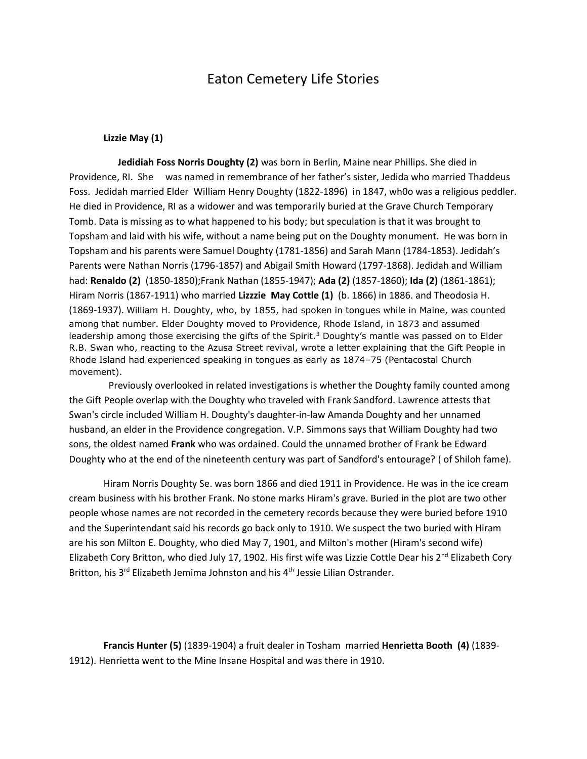## Eaton Cemetery Life Stories

## **Lizzie May (1)**

 **Jedidiah Foss Norris Doughty (2)** was born in Berlin, Maine near Phillips. She died in Providence, RI. She was named in remembrance of her father's sister, Jedida who married Thaddeus Foss. Jedidah married Elder William Henry Doughty (1822-1896) in 1847, wh0o was a religious peddler. He died in Providence, RI as a widower and was temporarily buried at the Grave Church Temporary Tomb. Data is missing as to what happened to his body; but speculation is that it was brought to Topsham and laid with his wife, without a name being put on the Doughty monument. He was born in Topsham and his parents were Samuel Doughty (1781-1856) and Sarah Mann (1784-1853). Jedidah's Parents were Nathan Norris (1796-1857) and Abigail Smith Howard (1797-1868). Jedidah and William had: **Renaldo (2)** (1850-1850);Frank Nathan (1855-1947); **Ada (2)** (1857-1860); **Ida (2)** (1861-1861); Hiram Norris (1867-1911) who married **Lizzzie May Cottle (1)** (b. 1866) in 1886. and Theodosia H. (1869-1937). William H. Doughty, who, by 1855, had spoken in tongues while in Maine, was counted among that number. Elder Doughty moved to Providence, Rhode Island, in 1873 and assumed leadership among those exercising the gifts of the Spirit.<sup>3</sup> Doughty's mantle was passed on to Elder R.B. Swan who, reacting to the Azusa Street revival, wrote a letter explaining that the Gift People in Rhode Island had experienced speaking in tongues as early as 1874–75 (Pentacostal Church movement).

 Previously overlooked in related investigations is whether the Doughty family counted among the Gift People overlap with the Doughty who traveled with Frank Sandford. Lawrence attests that Swan's circle included William H. Doughty's daughter-in-law Amanda Doughty and her unnamed husband, an elder in the Providence congregation. V.P. Simmons says that William Doughty had two sons, the oldest named **Frank** who was ordained. Could the unnamed brother of Frank be Edward Doughty who at the end of the nineteenth century was part of Sandford's entourage? ( of Shiloh fame).

Hiram Norris Doughty Se. was born 1866 and died 1911 in Providence. He was in the ice cream cream business with his brother Frank. No stone marks Hiram's grave. Buried in the plot are two other people whose names are not recorded in the cemetery records because they were buried before 1910 and the Superintendant said his records go back only to 1910. We suspect the two buried with Hiram are his son Milton E. Doughty, who died May 7, 1901, and Milton's mother (Hiram's second wife) Elizabeth Cory Britton, who died July 17, 1902. His first wife was Lizzie Cottle Dear his 2<sup>nd</sup> Elizabeth Cory Britton, his 3<sup>rd</sup> Elizabeth Jemima Johnston and his 4<sup>th</sup> Jessie Lilian Ostrander.

**Francis Hunter (5)** (1839-1904) a fruit dealer in Tosham married **Henrietta Booth (4)** (1839- 1912). Henrietta went to the Mine Insane Hospital and was there in 1910.